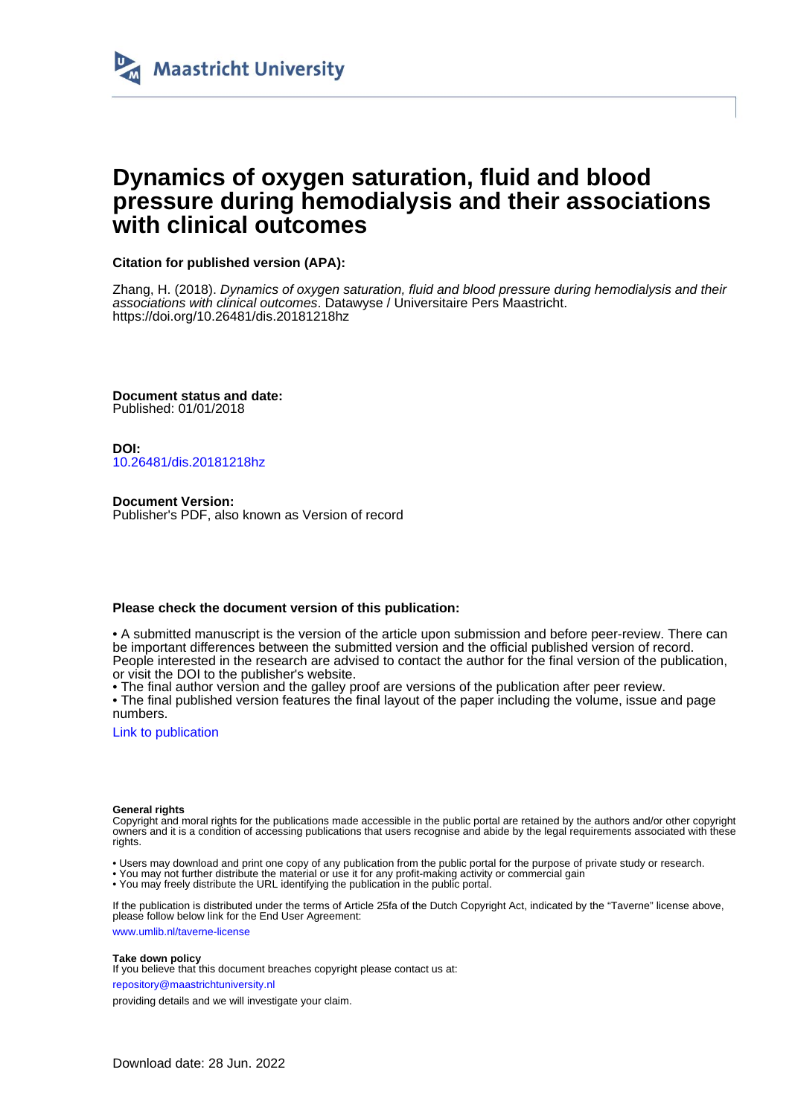

# **Dynamics of oxygen saturation, fluid and blood pressure during hemodialysis and their associations with clinical outcomes**

# **Citation for published version (APA):**

Zhang, H. (2018). Dynamics of oxygen saturation, fluid and blood pressure during hemodialysis and their associations with clinical outcomes. Datawyse / Universitaire Pers Maastricht. <https://doi.org/10.26481/dis.20181218hz>

**Document status and date:** Published: 01/01/2018

**DOI:** [10.26481/dis.20181218hz](https://doi.org/10.26481/dis.20181218hz)

**Document Version:** Publisher's PDF, also known as Version of record

### **Please check the document version of this publication:**

• A submitted manuscript is the version of the article upon submission and before peer-review. There can be important differences between the submitted version and the official published version of record. People interested in the research are advised to contact the author for the final version of the publication, or visit the DOI to the publisher's website.

• The final author version and the galley proof are versions of the publication after peer review.

• The final published version features the final layout of the paper including the volume, issue and page numbers.

[Link to publication](https://cris.maastrichtuniversity.nl/en/publications/3375f7f4-2dfc-4b1c-b041-9539c6b62145)

#### **General rights**

Copyright and moral rights for the publications made accessible in the public portal are retained by the authors and/or other copyright owners and it is a condition of accessing publications that users recognise and abide by the legal requirements associated with these rights.

- Users may download and print one copy of any publication from the public portal for the purpose of private study or research.
- You may not further distribute the material or use it for any profit-making activity or commercial gain
- You may freely distribute the URL identifying the publication in the public portal.

If the publication is distributed under the terms of Article 25fa of the Dutch Copyright Act, indicated by the "Taverne" license above, please follow below link for the End User Agreement:

www.umlib.nl/taverne-license

#### **Take down policy**

If you believe that this document breaches copyright please contact us at:

repository@maastrichtuniversity.nl

providing details and we will investigate your claim.